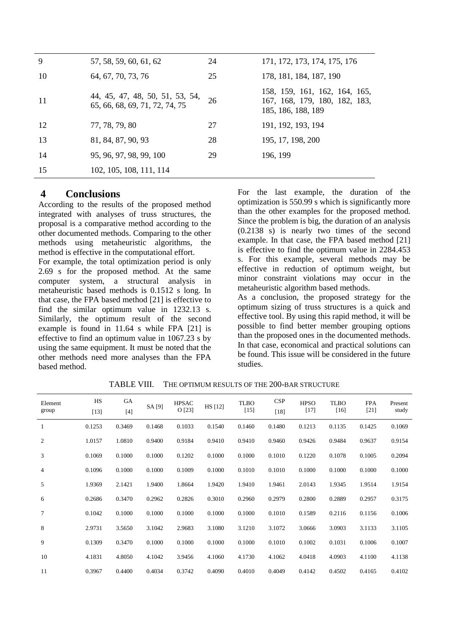| 9  | 57, 58, 59, 60, 61, 62                                            | 24 | 171, 172, 173, 174, 175, 176                                                         |
|----|-------------------------------------------------------------------|----|--------------------------------------------------------------------------------------|
| 10 | 64, 67, 70, 73, 76                                                | 25 | 178, 181, 184, 187, 190                                                              |
| 11 | 44, 45, 47, 48, 50, 51, 53, 54,<br>65, 66, 68, 69, 71, 72, 74, 75 | 26 | 158, 159, 161, 162, 164, 165,<br>167, 168, 179, 180, 182, 183,<br>185, 186, 188, 189 |
| 12 | 77, 78, 79, 80                                                    | 27 | 191, 192, 193, 194                                                                   |
| 13 | 81, 84, 87, 90, 93                                                | 28 | 195, 17, 198, 200                                                                    |
| 14 | 95, 96, 97, 98, 99, 100                                           | 29 | 196, 199                                                                             |
| 15 | 102, 105, 108, 111, 114                                           |    |                                                                                      |

## **4 Conclusions**

According to the results of the proposed method integrated with analyses of truss structures, the proposal is a comparative method according to the other documented methods. Comparing to the other methods using metaheuristic algorithms, the method is effective in the computational effort.

For example, the total optimization period is only 2.69 s for the proposed method. At the same computer system, a structural analysis in metaheuristic based methods is 0.1512 s long. In that case, the FPA based method [21] is effective to find the similar optimum value in 1232.13 s. Similarly, the optimum result of the second example is found in 11.64 s while FPA [21] is effective to find an optimum value in 1067.23 s by using the same equipment. It must be noted that the other methods need more analyses than the FPA based method.

For the last example, the duration of the optimization is 550.99 s which is significantly more than the other examples for the proposed method. Since the problem is big, the duration of an analysis (0.2138 s) is nearly two times of the second example. In that case, the FPA based method [21] is effective to find the optimum value in 2284.453 s. For this example, several methods may be effective in reduction of optimum weight, but minor constraint violations may occur in the metaheuristic algorithm based methods.

As a conclusion, the proposed strategy for the optimum sizing of truss structures is a quick and effective tool. By using this rapid method, it will be possible to find better member grouping options than the proposed ones in the documented methods. In that case, economical and practical solutions can be found. This issue will be considered in the future studies.

| Element<br>group | <b>HS</b><br>$[13]$ | GA<br>$[4]$ | SA [9] | <b>HPSAC</b><br>O [23] | HS [12] | <b>TLBO</b><br>$[15]$ | CSP<br>$[18]$ | <b>HPSO</b><br>$[17]$ | <b>TLBO</b><br>$[16]$ | <b>FPA</b><br>$[21]$ | Present<br>study |
|------------------|---------------------|-------------|--------|------------------------|---------|-----------------------|---------------|-----------------------|-----------------------|----------------------|------------------|
| 1                | 0.1253              | 0.3469      | 0.1468 | 0.1033                 | 0.1540  | 0.1460                | 0.1480        | 0.1213                | 0.1135                | 0.1425               | 0.1069           |
| 2                | 1.0157              | 1.0810      | 0.9400 | 0.9184                 | 0.9410  | 0.9410                | 0.9460        | 0.9426                | 0.9484                | 0.9637               | 0.9154           |
| 3                | 0.1069              | 0.1000      | 0.1000 | 0.1202                 | 0.1000  | 0.1000                | 0.1010        | 0.1220                | 0.1078                | 0.1005               | 0.2094           |
| $\overline{4}$   | 0.1096              | 0.1000      | 0.1000 | 0.1009                 | 0.1000  | 0.1010                | 0.1010        | 0.1000                | 0.1000                | 0.1000               | 0.1000           |
| 5                | 1.9369              | 2.1421      | 1.9400 | 1.8664                 | 1.9420  | 1.9410                | 1.9461        | 2.0143                | 1.9345                | 1.9514               | 1.9154           |
| 6                | 0.2686              | 0.3470      | 0.2962 | 0.2826                 | 0.3010  | 0.2960                | 0.2979        | 0.2800                | 0.2889                | 0.2957               | 0.3175           |
| $\overline{7}$   | 0.1042              | 0.1000      | 0.1000 | 0.1000                 | 0.1000  | 0.1000                | 0.1010        | 0.1589                | 0.2116                | 0.1156               | 0.1006           |
| 8                | 2.9731              | 3.5650      | 3.1042 | 2.9683                 | 3.1080  | 3.1210                | 3.1072        | 3.0666                | 3.0903                | 3.1133               | 3.1105           |
| 9                | 0.1309              | 0.3470      | 0.1000 | 0.1000                 | 0.1000  | 0.1000                | 0.1010        | 0.1002                | 0.1031                | 0.1006               | 0.1007           |
| 10               | 4.1831              | 4.8050      | 4.1042 | 3.9456                 | 4.1060  | 4.1730                | 4.1062        | 4.0418                | 4.0903                | 4.1100               | 4.1138           |
| 11               | 0.3967              | 0.4400      | 0.4034 | 0.3742                 | 0.4090  | 0.4010                | 0.4049        | 0.4142                | 0.4502                | 0.4165               | 0.4102           |

TABLE VIII. THE OPTIMUM RESULTS OF THE 200-BAR STRUCTURE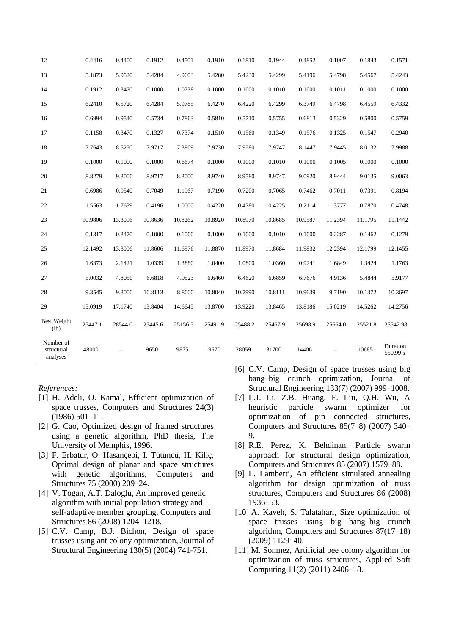| 12                                  | 0.4416  | 0.4400  | 0.1912  | 0.4501  | 0.1910  | 0.1810  | 0.1944  | 0.4852  | 0.1007  | 0.1843  | 0.1571               |
|-------------------------------------|---------|---------|---------|---------|---------|---------|---------|---------|---------|---------|----------------------|
| 13                                  | 5.1873  | 5.9520  | 5.4284  | 4.9603  | 5.4280  | 5.4230  | 5.4299  | 5.4196  | 5.4798  | 5.4567  | 5.4243               |
| 14                                  | 0.1912  | 0.3470  | 0.1000  | 1.0738  | 0.1000  | 0.1000  | 0.1010  | 0.1000  | 0.1011  | 0.1000  | 0.1000               |
| 15                                  | 6.2410  | 6.5720  | 6.4284  | 5.9785  | 6.4270  | 6.4220  | 6.4299  | 6.3749  | 6.4798  | 6.4559  | 6.4332               |
| 16                                  | 0.6994  | 0.9540  | 0.5734  | 0.7863  | 0.5810  | 0.5710  | 0.5755  | 0.6813  | 0.5329  | 0.5800  | 0.5759               |
| 17                                  | 0.1158  | 0.3470  | 0.1327  | 0.7374  | 0.1510  | 0.1560  | 0.1349  | 0.1576  | 0.1325  | 0.1547  | 0.2940               |
| 18                                  | 7.7643  | 8.5250  | 7.9717  | 7.3809  | 7.9730  | 7.9580  | 7.9747  | 8.1447  | 7.9445  | 8.0132  | 7.9988               |
| 19                                  | 0.1000  | 0.1000  | 0.1000  | 0.6674  | 0.1000  | 0.1000  | 0.1010  | 0.1000  | 0.1005  | 0.1000  | 0.1000               |
| 20                                  | 8.8279  | 9.3000  | 8.9717  | 8.3000  | 8.9740  | 8.9580  | 8.9747  | 9.0920  | 8.9444  | 9.0135  | 9.0063               |
| 21                                  | 0.6986  | 0.9540  | 0.7049  | 1.1967  | 0.7190  | 0.7200  | 0.7065  | 0.7462  | 0.7011  | 0.7391  | 0.8194               |
| 22                                  | 1.5563  | 1.7639  | 0.4196  | 1.0000  | 0.4220  | 0.4780  | 0.4225  | 0.2114  | 1.3777  | 0.7870  | 0.4748               |
| 23                                  | 10.9806 | 13.3006 | 10.8636 | 10.8262 | 10.8920 | 10.8970 | 10.8685 | 10.9587 | 11.2394 | 11.1795 | 11.1442              |
| 24                                  | 0.1317  | 0.3470  | 0.1000  | 0.1000  | 0.1000  | 0.1000  | 0.1010  | 0.1000  | 0.2287  | 0.1462  | 0.1279               |
| 25                                  | 12.1492 | 13.3006 | 11.8606 | 11.6976 | 11.8870 | 11.8970 | 11.8684 | 11.9832 | 12.2394 | 12.1799 | 12.1455              |
| 26                                  | 1.6373  | 2.1421  | 1.0339  | 1.3880  | 1.0400  | 1.0800  | 1.0360  | 0.9241  | 1.6849  | 1.3424  | 1.1763               |
| 27                                  | 5.0032  | 4.8050  | 6.6818  | 4.9523  | 6.6460  | 6.4620  | 6.6859  | 6.7676  | 4.9136  | 5.4844  | 5.9177               |
| 28                                  | 9.3545  | 9.3000  | 10.8113 | 8.8000  | 10.8040 | 10.7990 | 10.8111 | 10.9639 | 9.7190  | 10.1372 | 10.3697              |
| 29                                  | 15.0919 | 17.1740 | 13.8404 | 14.6645 | 13.8700 | 13.9220 | 13.8465 | 13.8186 | 15.0219 | 14.5262 | 14.2756              |
| <b>Best Weight</b><br>(lb)          | 25447.1 | 28544.0 | 25445.6 | 25156.5 | 25491.9 | 25488.2 | 25467.9 | 25698.9 | 25664.0 | 25521.8 | 25542.98             |
| Number of<br>structural<br>analyses | 48000   |         | 9650    | 9875    | 19670   | 28059   | 31700   | 14406   |         | 10685   | Duration<br>550.99 s |

## *References:*

- [1] H. Adeli, O. Kamal, Efficient optimization of space trusses, Computers and Structures 24(3) (1986) 501–11.
- [2] G. Cao, Optimized design of framed structures using a genetic algorithm, PhD thesis, The University of Memphis, 1996.
- [3] F. Erbatur, O. Hasançebi, I. Tütüncü, H. Kiliç, Optimal design of planar and space structures with genetic algorithms, Computers and Structures 75 (2000) 209–24.
- [4] V. Togan, A.T. Daloglu, An improved genetic algorithm with initial population strategy and self-adaptive member grouping, Computers and Structures 86 (2008) 1204–1218.
- [5] C.V. Camp, B.J. Bichon, Design of space trusses using ant colony optimization, Journal of Structural Engineering 130(5) (2004) 741-751.
- [6] C.V. Camp, Design of space trusses using big bang–big crunch optimization, Journal of Structural Engineering 133(7) (2007) 999–1008.
- [7] L.J. Li, Z.B. Huang, F. Liu, Q.H. Wu, A heuristic particle swarm optimizer for optimization of pin connected structures, Computers and Structures 85(7–8) (2007) 340–  $\mathbf Q$
- [8] R.E. Perez, K. Behdinan, Particle swarm approach for structural design optimization, Computers and Structures 85 (2007) 1579–88.
- [9] L. Lamberti, An efficient simulated annealing algorithm for design optimization of truss structures, Computers and Structures 86 (2008) 1936–53.
- [10] A. Kaveh, S. Talatahari, Size optimization of space trusses using big bang–big crunch algorithm, Computers and Structures 87(17–18) (2009) 1129–40.
- [11] M. Sonmez, Artificial bee colony algorithm for optimization of truss structures, Applied Soft Computing 11(2) (2011) 2406–18.